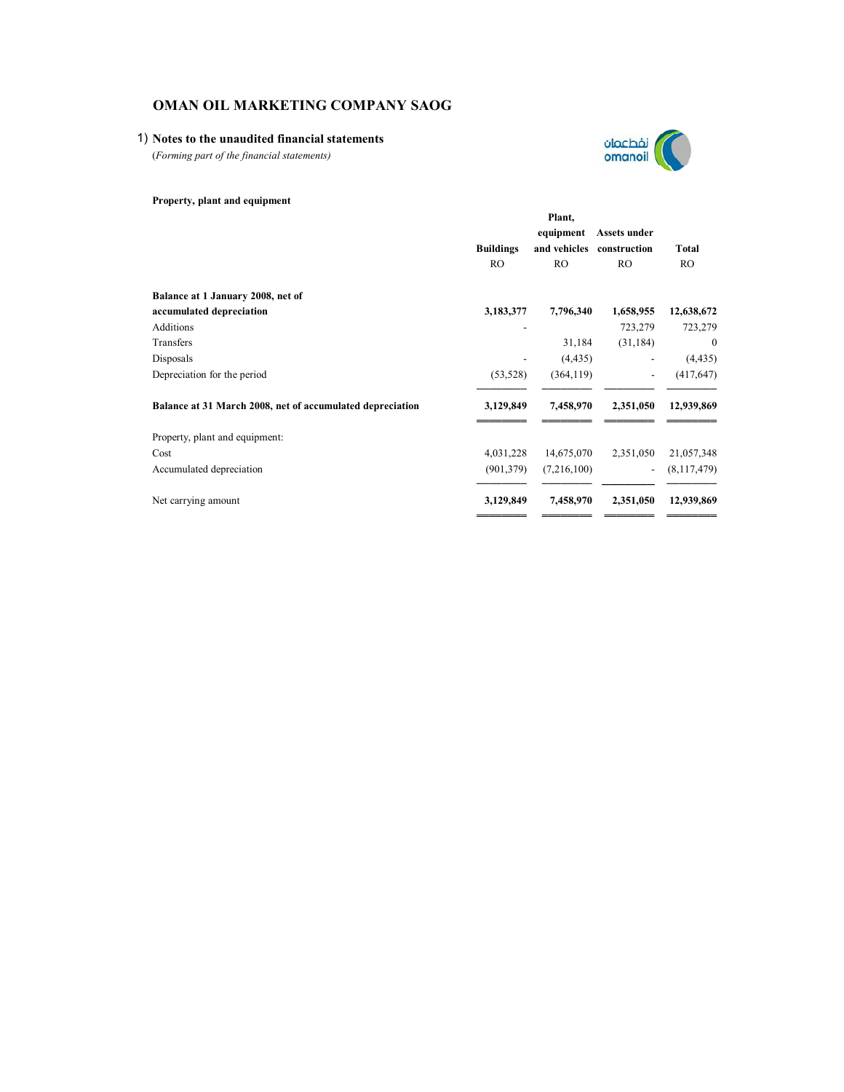## 1) **Notes to the unaudited financial statements**

(*Forming part of the financial statements)*



|                                                           |                  | Plant,       |                          |              |
|-----------------------------------------------------------|------------------|--------------|--------------------------|--------------|
|                                                           |                  | equipment    | Assets under             |              |
|                                                           | <b>Buildings</b> | and vehicles | construction             | <b>Total</b> |
|                                                           | <b>RO</b>        | RO.          | <b>RO</b>                | <b>RO</b>    |
| Balance at 1 January 2008, net of                         |                  |              |                          |              |
| accumulated depreciation                                  | 3,183,377        | 7,796,340    | 1,658,955                | 12,638,672   |
| <b>Additions</b>                                          |                  |              | 723,279                  | 723,279      |
| Transfers                                                 |                  | 31,184       | (31, 184)                | $\mathbf{0}$ |
| Disposals                                                 |                  | (4, 435)     |                          | (4, 435)     |
| Depreciation for the period                               | (53, 528)        | (364, 119)   | $\overline{\phantom{0}}$ | (417, 647)   |
| Balance at 31 March 2008, net of accumulated depreciation | 3,129,849        | 7,458,970    | 2,351,050                | 12,939,869   |
| Property, plant and equipment:                            |                  |              |                          |              |
| Cost                                                      | 4,031,228        | 14,675,070   | 2,351,050                | 21,057,348   |
| Accumulated depreciation                                  | (901, 379)       | (7,216,100)  |                          | (8,117,479)  |
| Net carrying amount                                       | 3,129,849        | 7,458,970    | 2,351,050                | 12,939,869   |
|                                                           |                  |              |                          |              |

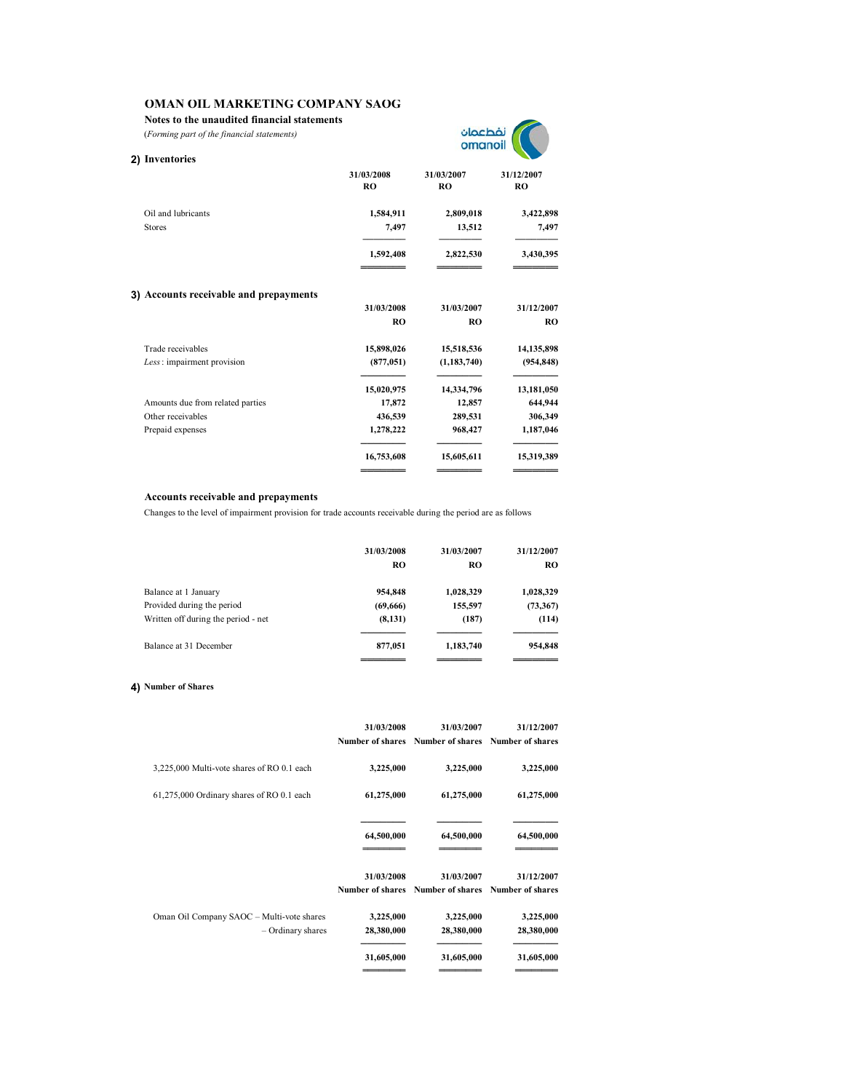**Notes to the unaudited financial statements**

(*Forming part of the financial statements)*

| نفطعمان |  |
|---------|--|
| omanoil |  |
|         |  |

| 2) Inventories                         |                         |                              |                         |
|----------------------------------------|-------------------------|------------------------------|-------------------------|
|                                        | 31/03/2008<br><b>RO</b> | 31/03/2007<br>R <sub>O</sub> | 31/12/2007<br><b>RO</b> |
| Oil and lubricants                     | 1,584,911               | 2,809,018                    | 3,422,898               |
| <b>Stores</b>                          | 7,497                   | 13,512                       | 7,497                   |
|                                        | 1,592,408               | 2,822,530                    | 3,430,395               |
| 3) Accounts receivable and prepayments |                         |                              |                         |
|                                        | 31/03/2008              | 31/03/2007                   | 31/12/2007              |
|                                        | R <sub>O</sub>          | <b>RO</b>                    | <b>RO</b>               |
| Trade receivables                      | 15,898,026              | 15,518,536                   | 14,135,898              |
| Less: impairment provision             | (877, 051)              | (1, 183, 740)                | (954, 848)              |
|                                        | 15,020,975              | 14,334,796                   | 13,181,050              |
| Amounts due from related parties       | 17,872                  | 12,857                       | 644,944                 |
| Other receivables                      | 436,539                 | 289,531                      | 306,349                 |
| Prepaid expenses                       | 1,278,222               | 968,427                      | 1,187,046               |
|                                        | 16,753,608              | 15,605,611                   | 15,319,389              |
|                                        |                         |                              |                         |

#### **Accounts receivable and prepayments**

Changes to the level of impairment provision for trade accounts receivable during the period are as follows

| RO       | RO        | <b>RO</b> |
|----------|-----------|-----------|
| 954,848  | 1,028,329 | 1,028,329 |
| (69,666) | 155,597   | (73,367)  |
| (8, 131) | (187)     | (114)     |
| 877,051  | 1,183,740 | 954,848   |
|          |           |           |

#### **4) Number of Shares**

|                                                                | 31/03/2008              | 31/03/2007<br>Number of shares Number of shares Number of shares | 31/12/2007              |
|----------------------------------------------------------------|-------------------------|------------------------------------------------------------------|-------------------------|
| 3,225,000 Multi-vote shares of RO 0.1 each                     | 3,225,000               | 3,225,000                                                        | 3,225,000               |
| 61,275,000 Ordinary shares of RO 0.1 each                      | 61,275,000              | 61,275,000                                                       | 61,275,000              |
|                                                                | 64,500,000              | 64,500,000                                                       | 64,500,000              |
|                                                                | 31/03/2008              | 31/03/2007<br>Number of shares Number of shares Number of shares | 31/12/2007              |
| Oman Oil Company SAOC - Multi-vote shares<br>- Ordinary shares | 3,225,000<br>28,380,000 | 3,225,000<br>28,380,000                                          | 3,225,000<br>28,380,000 |
|                                                                | 31,605,000              | 31,605,000                                                       | 31,605,000              |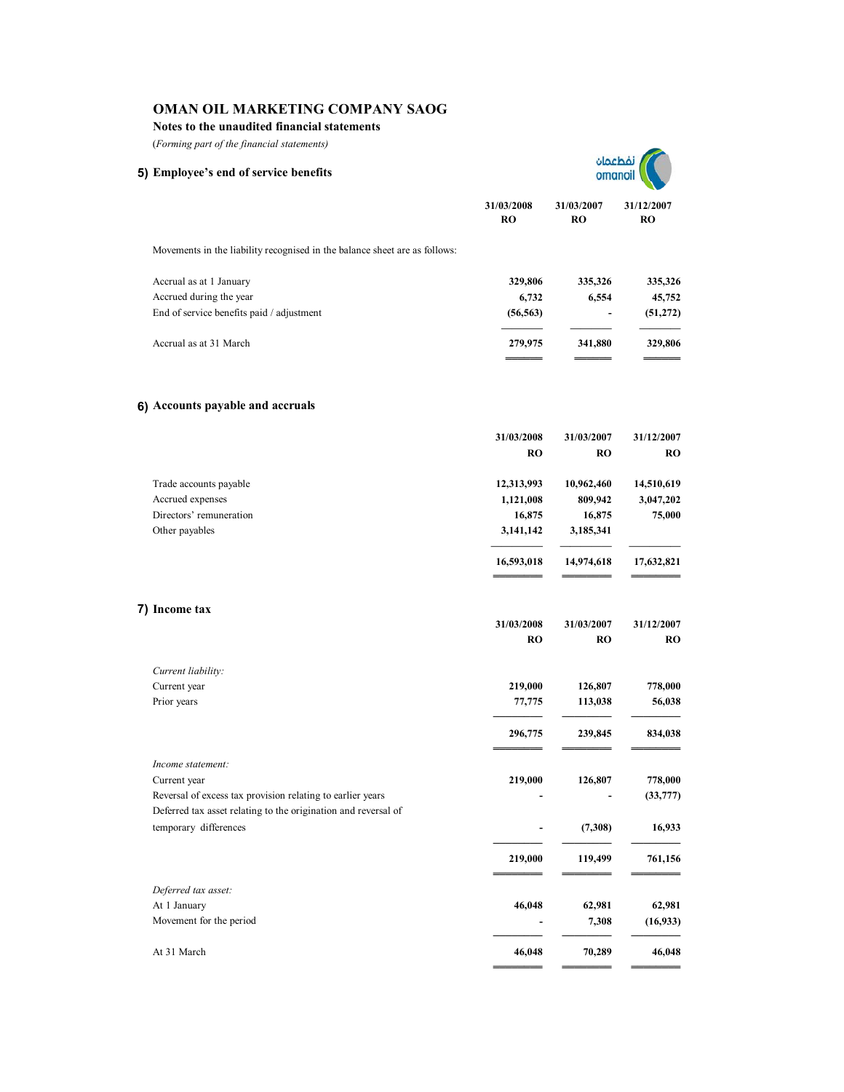## **Notes to the unaudited financial statements**

(*Forming part of the financial statements)*

| (Forming part of the financial statements)                                 |                         |                         |                  |  |
|----------------------------------------------------------------------------|-------------------------|-------------------------|------------------|--|
| 5) Employee's end of service benefits                                      |                         | dachá<br>omano          |                  |  |
|                                                                            | 31/03/2008<br><b>RO</b> | 31/03/2007<br><b>RO</b> | 31/12/2007<br>RO |  |
| Movements in the liability recognised in the balance sheet are as follows: |                         |                         |                  |  |
| Accrual as at 1 January                                                    | 329,806                 | 335,326                 | 335,326          |  |
| Accrued during the year                                                    | 6,732                   | 6,554                   | 45,752           |  |
| End of service benefits paid / adjustment                                  | (56, 563)               |                         | (51, 272)        |  |
| Accrual as at 31 March                                                     | 279,975                 | 341,880                 | 329,806          |  |
|                                                                            |                         |                         |                  |  |
|                                                                            |                         |                         |                  |  |
| 6) Accounts payable and accruals                                           |                         |                         |                  |  |

|                                                                                         | 31/03/2008<br><b>RO</b> | 31/03/2007<br><b>RO</b> | 31/12/2007<br><b>RO</b> |
|-----------------------------------------------------------------------------------------|-------------------------|-------------------------|-------------------------|
|                                                                                         |                         |                         |                         |
| Trade accounts payable                                                                  | 12,313,993              | 10,962,460              | 14,510,619              |
| Accrued expenses                                                                        | 1,121,008               | 809,942                 | 3,047,202               |
| Directors' remuneration                                                                 | 16,875                  | 16,875                  | 75,000                  |
| Other payables                                                                          | 3,141,142               | 3,185,341               |                         |
|                                                                                         | 16,593,018              | 14,974,618              | 17,632,821              |
| 7) Income tax                                                                           |                         |                         |                         |
|                                                                                         | 31/03/2008              | 31/03/2007              | 31/12/2007              |
|                                                                                         | <b>RO</b>               | <b>RO</b>               | <b>RO</b>               |
| Current liability:                                                                      |                         |                         |                         |
| Current year                                                                            | 219,000                 | 126,807                 | 778,000                 |
| Prior years                                                                             | 77,775                  | 113,038                 | 56,038                  |
|                                                                                         | 296,775                 | 239,845                 | 834,038                 |
| Income statement:                                                                       |                         |                         |                         |
| Current year                                                                            | 219,000                 | 126,807                 | 778,000                 |
| Reversal of excess tax provision relating to earlier years                              |                         |                         | (33, 777)               |
| Deferred tax asset relating to the origination and reversal of<br>temporary differences |                         | (7,308)                 | 16,933                  |
|                                                                                         | 219,000                 | 119,499                 | 761,156                 |
|                                                                                         |                         |                         |                         |
| Deferred tax asset:                                                                     |                         |                         |                         |
| At 1 January                                                                            | 46,048                  | 62,981                  | 62,981                  |
| Movement for the period                                                                 |                         | 7,308                   | (16, 933)               |
| At 31 March                                                                             | 46,048                  | 70,289                  | 46,048                  |